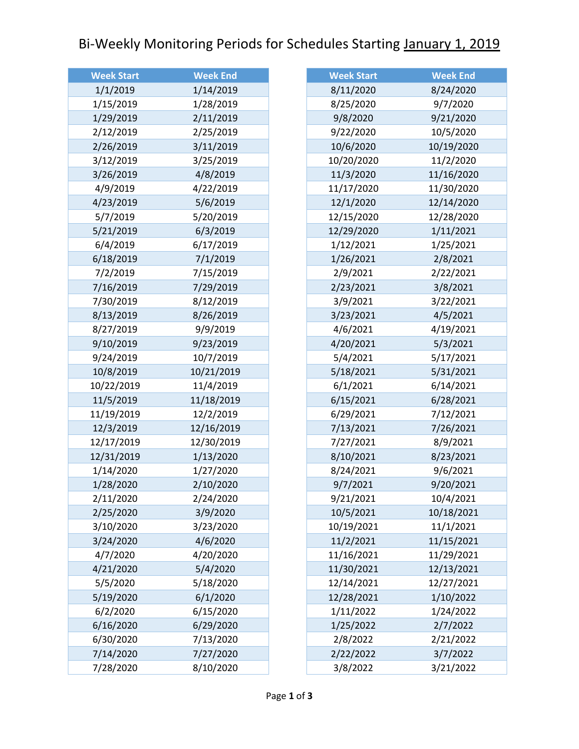## Bi-Weekly Monitoring Periods for Schedules Starting January 1, 2019

| <b>Week Start</b> | <b>Week End</b> |
|-------------------|-----------------|
| 1/1/2019          | 1/14/2019       |
| 1/15/2019         | 1/28/2019       |
| 1/29/2019         | 2/11/2019       |
| 2/12/2019         | 2/25/2019       |
| 2/26/2019         | 3/11/2019       |
| 3/12/2019         | 3/25/2019       |
| 3/26/2019         | 4/8/2019        |
| 4/9/2019          | 4/22/2019       |
| 4/23/2019         | 5/6/2019        |
| 5/7/2019          | 5/20/2019       |
| 5/21/2019         | 6/3/2019        |
| 6/4/2019          | 6/17/2019       |
| 6/18/2019         | 7/1/2019        |
| 7/2/2019          | 7/15/2019       |
| 7/16/2019         | 7/29/2019       |
| 7/30/2019         | 8/12/2019       |
| 8/13/2019         | 8/26/2019       |
| 8/27/2019         | 9/9/2019        |
| 9/10/2019         | 9/23/2019       |
| 9/24/2019         | 10/7/2019       |
| 10/8/2019         | 10/21/2019      |
| 10/22/2019        | 11/4/2019       |
| 11/5/2019         | 11/18/2019      |
| 11/19/2019        | 12/2/2019       |
| 12/3/2019         | 12/16/2019      |
| 12/17/2019        | 12/30/2019      |
| 12/31/2019        | 1/13/2020       |
| 1/14/2020         | 1/27/2020       |
| 1/28/2020         | 2/10/2020       |
| 2/11/2020         | 2/24/2020       |
| 2/25/2020         | 3/9/2020        |
| 3/10/2020         | 3/23/2020       |
| 3/24/2020         | 4/6/2020        |
| 4/7/2020          | 4/20/2020       |
| 4/21/2020         | 5/4/2020        |
| 5/5/2020          | 5/18/2020       |
| 5/19/2020         | 6/1/2020        |
| 6/2/2020          | 6/15/2020       |
| 6/16/2020         | 6/29/2020       |
| 6/30/2020         | 7/13/2020       |
| 7/14/2020         | 7/27/2020       |
| 7/28/2020         | 8/10/2020       |

| <b>Week Start</b> | <b>Week End</b> |
|-------------------|-----------------|
| 8/11/2020         | 8/24/2020       |
| 8/25/2020         | 9/7/2020        |
| 9/8/2020          | 9/21/2020       |
| 9/22/2020         | 10/5/2020       |
| 10/6/2020         | 10/19/2020      |
| 10/20/2020        | 11/2/2020       |
| 11/3/2020         | 11/16/2020      |
| 11/17/2020        | 11/30/2020      |
| 12/1/2020         | 12/14/2020      |
| 12/15/2020        | 12/28/2020      |
| 12/29/2020        | 1/11/2021       |
| 1/12/2021         | 1/25/2021       |
| 1/26/2021         | 2/8/2021        |
| 2/9/2021          | 2/22/2021       |
| 2/23/2021         | 3/8/2021        |
| 3/9/2021          | 3/22/2021       |
| 3/23/2021         | 4/5/2021        |
| 4/6/2021          | 4/19/2021       |
| 4/20/2021         | 5/3/2021        |
| 5/4/2021          | 5/17/2021       |
| 5/18/2021         | 5/31/2021       |
| 6/1/2021          | 6/14/2021       |
| 6/15/2021         | 6/28/2021       |
| 6/29/2021         | 7/12/2021       |
| 7/13/2021         | 7/26/2021       |
| 7/27/2021         | 8/9/2021        |
| 8/10/2021         | 8/23/2021       |
| 8/24/2021         | 9/6/2021        |
| 9/7/2021          | 9/20/2021       |
| 9/21/2021         | 10/4/2021       |
| 10/5/2021         | 10/18/2021      |
| 10/19/2021        | 11/1/2021       |
| 11/2/2021         | 11/15/2021      |
| 11/16/2021        | 11/29/2021      |
| 11/30/2021        | 12/13/2021      |
| 12/14/2021        | 12/27/2021      |
| 12/28/2021        | 1/10/2022       |
| 1/11/2022         | 1/24/2022       |
| 1/25/2022         | 2/7/2022        |
| 2/8/2022          | 2/21/2022       |
| 2/22/2022         | 3/7/2022        |
| 3/8/2022          | 3/21/2022       |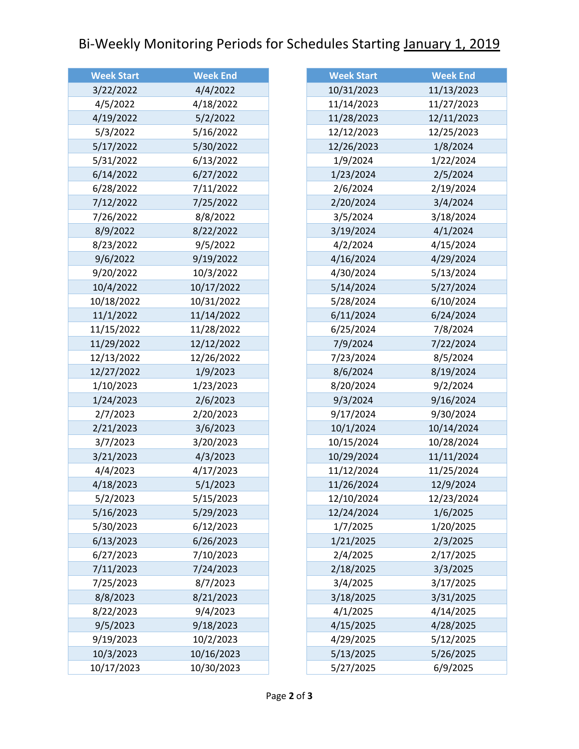## Bi-Weekly Monitoring Periods for Schedules Starting January 1, 2019

| <b>Week Start</b> | <b>Week End</b> |
|-------------------|-----------------|
| 3/22/2022         | 4/4/2022        |
| 4/5/2022          | 4/18/2022       |
| 4/19/2022         | 5/2/2022        |
| 5/3/2022          | 5/16/2022       |
| 5/17/2022         | 5/30/2022       |
| 5/31/2022         | 6/13/2022       |
| 6/14/2022         | 6/27/2022       |
| 6/28/2022         | 7/11/2022       |
| 7/12/2022         | 7/25/2022       |
| 7/26/2022         | 8/8/2022        |
| 8/9/2022          | 8/22/2022       |
| 8/23/2022         | 9/5/2022        |
| 9/6/2022          | 9/19/2022       |
| 9/20/2022         | 10/3/2022       |
| 10/4/2022         | 10/17/2022      |
| 10/18/2022        | 10/31/2022      |
| 11/1/2022         | 11/14/2022      |
| 11/15/2022        | 11/28/2022      |
| 11/29/2022        | 12/12/2022      |
| 12/13/2022        | 12/26/2022      |
| 12/27/2022        | 1/9/2023        |
| 1/10/2023         | 1/23/2023       |
| 1/24/2023         | 2/6/2023        |
| 2/7/2023          | 2/20/2023       |
| 2/21/2023         | 3/6/2023        |
| 3/7/2023          | 3/20/2023       |
| 3/21/2023         | 4/3/2023        |
| 4/4/2023          | 4/17/2023       |
| 4/18/2023         | 5/1/2023        |
| 5/2/2023          | 5/15/2023       |
| 5/16/2023         | 5/29/2023       |
| 5/30/2023         | 6/12/2023       |
| 6/13/2023         | 6/26/2023       |
| 6/27/2023         | 7/10/2023       |
| 7/11/2023         | 7/24/2023       |
| 7/25/2023         | 8/7/2023        |
| 8/8/2023          | 8/21/2023       |
| 8/22/2023         | 9/4/2023        |
| 9/5/2023          | 9/18/2023       |
| 9/19/2023         | 10/2/2023       |
| 10/3/2023         | 10/16/2023      |
| 10/17/2023        | 10/30/2023      |

| <b>Week Start</b> | <b>Week End</b> |
|-------------------|-----------------|
| 10/31/2023        | 11/13/2023      |
| 11/14/2023        | 11/27/2023      |
| 11/28/2023        | 12/11/2023      |
| 12/12/2023        | 12/25/2023      |
| 12/26/2023        | 1/8/2024        |
| 1/9/2024          | 1/22/2024       |
| 1/23/2024         | 2/5/2024        |
| 2/6/2024          | 2/19/2024       |
| 2/20/2024         | 3/4/2024        |
| 3/5/2024          | 3/18/2024       |
| 3/19/2024         | 4/1/2024        |
| 4/2/2024          | 4/15/2024       |
| 4/16/2024         | 4/29/2024       |
| 4/30/2024         | 5/13/2024       |
| 5/14/2024         | 5/27/2024       |
| 5/28/2024         | 6/10/2024       |
| 6/11/2024         | 6/24/2024       |
| 6/25/2024         | 7/8/2024        |
| 7/9/2024          | 7/22/2024       |
| 7/23/2024         | 8/5/2024        |
| 8/6/2024          | 8/19/2024       |
| 8/20/2024         | 9/2/2024        |
| 9/3/2024          | 9/16/2024       |
| 9/17/2024         | 9/30/2024       |
| 10/1/2024         | 10/14/2024      |
| 10/15/2024        | 10/28/2024      |
| 10/29/2024        | 11/11/2024      |
| 11/12/2024        | 11/25/2024      |
| 11/26/2024        | 12/9/2024       |
| 12/10/2024        | 12/23/2024      |
| 12/24/2024        | 1/6/2025        |
| 1/7/2025          | 1/20/2025       |
| 1/21/2025         | 2/3/2025        |
| 2/4/2025          | 2/17/2025       |
| 2/18/2025         | 3/3/2025        |
| 3/4/2025          | 3/17/2025       |
| 3/18/2025         | 3/31/2025       |
| 4/1/2025          | 4/14/2025       |
| 4/15/2025         | 4/28/2025       |
| 4/29/2025         | 5/12/2025       |
| 5/13/2025         | 5/26/2025       |
| 5/27/2025         | 6/9/2025        |